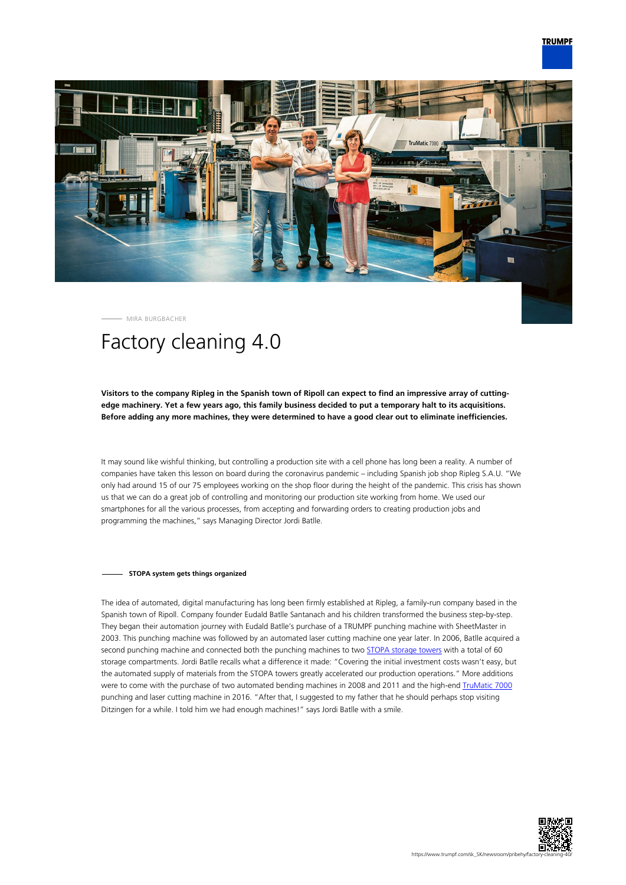

MIRA BURGBACHER

# Factory cleaning 4.0

# **Visitors to the company Ripleg in the Spanish town of Ripoll can expect to find an impressive array of cuttingedge machinery. Yet a few years ago, this family business decided to put a temporary halt to its acquisitions. Before adding any more machines, they were determined to have a good clear out to eliminate inefficiencies.**

It may sound like wishful thinking, but controlling a production site with a cell phone has long been a reality. A number of companies have taken this lesson on board during the coronavirus pandemic – including Spanish job shop Ripleg S.A.U. "We only had around 15 of our 75 employees working on the shop floor during the height of the pandemic. This crisis has shown us that we can do a great job of controlling and monitoring our production site working from home. We used our smartphones for all the various processes, from accepting and forwarding orders to creating production jobs and programming the machines," says Managing Director Jordi Batlle.

### **STOPA system gets things organized**

The idea of automated, digital manufacturing has long been firmly established at Ripleg, a family-run company based in the Spanish town of Ripoll. Company founder Eudald Batlle Santanach and his children transformed the business step-by-step. They began their automation journey with Eudald Batlle's purchase of a TRUMPF punching machine with SheetMaster in 2003. This punching machine was followed by an automated laser cutting machine one year later. In 2006, Batlle acquired a second punching machine and connected both the punching machines to two [STOPA storage towers](https://www.trumpf.com/en_INT/products/machines-systems/storage-systems/) with a total of 60 storage compartments. Jordi Batlle recalls what a difference it made: "Covering the initial investment costs wasn't easy, but the automated supply of materials from the STOPA towers greatly accelerated our production operations." More additions were to come with the purchase of two automated bending machines in 2008 and 2011 and the high-end [TruMatic 7000](https://www.trumpf.com/en_INT/products/machines-systems/punch-laser-machines/trumatic-7000/) punching and laser cutting machine in 2016. "After that, I suggested to my father that he should perhaps stop visiting Ditzingen for a while. I told him we had enough machines!" says Jordi Batlle with a smile.

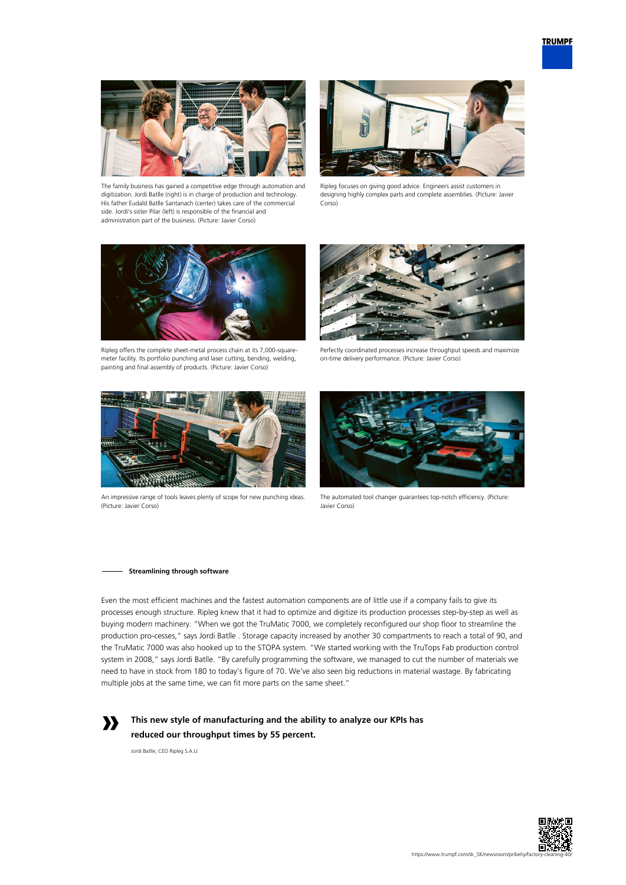

The family business has gained a competitive edge through automation and digitization. Jordi Batlle (right) is in charge of production and technology. His father Eudald Batlle Santanach (center) takes care of the commercial side. Jordi's sister Pilar (left) is responsible of the financial and administration part of the business. (Picture: Javier Corso)



Ripleg focuses on giving good advice. Engineers assist customers in designing highly complex parts and complete assemblies. (Picture: Javier Corso)



Ripleg offers the complete sheet-metal process chain at its 7,000-squaremeter facility. Its portfolio punching and laser cutting, bending, welding, painting and final assembly of products. (Picture: Javier Corso)



Perfectly coordinated processes increase throughput speeds and maximize on-time delivery performance. (Picture: Javier Corso)



An impressive range of tools leaves plenty of scope for new punching ideas. (Picture: Javier Corso)



The automated tool changer guarantees top-notch efficiency. (Picture: Javier Corso)

#### **Streamlining through software**

Even the most efficient machines and the fastest automation components are of little use if a company fails to give its processes enough structure. Ripleg knew that it had to optimize and digitize its production processes step-by-step as well as buying modern machinery. "When we got the TruMatic 7000, we completely reconfigured our shop floor to streamline the production pro-cesses," says Jordi Batlle . Storage capacity increased by another 30 compartments to reach a total of 90, and the TruMatic 7000 was also hooked up to the STOPA system. "We started working with the TruTops Fab production control system in 2008," says Jordi Batlle. "By carefully programming the software, we managed to cut the number of materials we need to have in stock from 180 to today's figure of 70. We've also seen big reductions in material wastage. By fabricating multiple jobs at the same time, we can fit more parts on the same sheet."



**This new style of manufacturing and the ability to analyze our KPIs has reduced our throughput times by 55 percent.** 

Jordi Batlle, CEO Ripleg S.A.U.